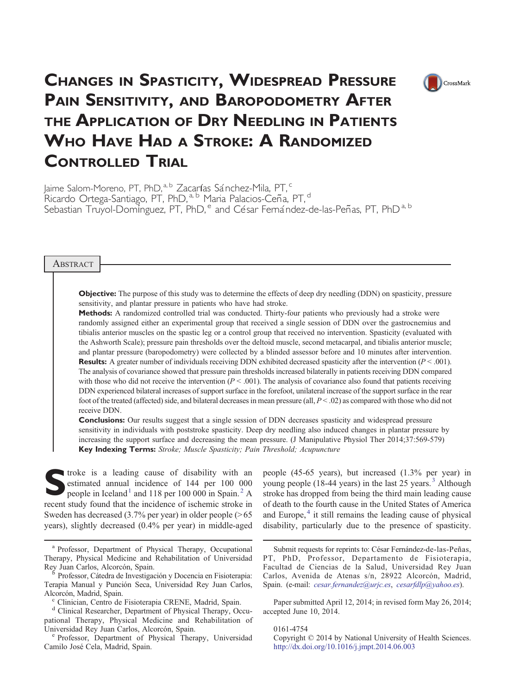

# CHANGES IN SPASTICITY, WIDESPREAD PRESSURE PAIN SENSITIVITY, AND BAROPODOMETRY AFTER THE APPLICATION OF DRY NEEDLING IN PATIENTS WHO HAVE HAD A STROKE: A RANDOMIZED CONTROLLED TRIAL

Jaime Salom-Moreno, PT, PhD,<sup>a,b</sup> Zacarías Sánchez-Mila, PT,<sup>c</sup> Ricardo Ortega-Santiago, PT, PhD, a, b Maria Palacios-Ceña, PT, <sup>d</sup> Sebastian Truyol-Domínguez, PT, PhD, e and César Fernández-de-las-Peñas, PT, PhD<sup>a, b</sup>

# ABSTRACT

Objective: The purpose of this study was to determine the effects of deep dry needling (DDN) on spasticity, pressure sensitivity, and plantar pressure in patients who have had stroke.

**Methods:** A randomized controlled trial was conducted. Thirty-four patients who previously had a stroke were randomly assigned either an experimental group that received a single session of DDN over the gastrocnemius and tibialis anterior muscles on the spastic leg or a control group that received no intervention. Spasticity (evaluated with the Ashworth Scale); pressure pain thresholds over the deltoid muscle, second metacarpal, and tibialis anterior muscle; and plantar pressure (baropodometry) were collected by a blinded assessor before and 10 minutes after intervention. **Results:** A greater number of individuals receiving DDN exhibited decreased spasticity after the intervention ( $P < .001$ ). The analysis of covariance showed that pressure pain thresholds increased bilaterally in patients receiving DDN compared with those who did not receive the intervention ( $P < .001$ ). The analysis of covariance also found that patients receiving DDN experienced bilateral increases of support surface in the forefoot, unilateral increase of the support surface in the rear foot of the treated (affected) side, and bilateral decreases in mean pressure (all,  $P < .02$ ) as compared with those who did not receive DDN.

**Conclusions:** Our results suggest that a single session of DDN decreases spasticity and widespread pressure sensitivity in individuals with poststroke spasticity. Deep dry needling also induced changes in plantar pressure by increasing the support surface and decreasing the mean pressure. (J Manipulative Physiol Ther 2014;37:569-579) Key Indexing Terms: Stroke; Muscle Spasticity; Pain Threshold; Acupuncture

Stroke is a leading cause of disability with an estimated annual incidence of 144 per 100 000 people in Icelan[d](#page-9-0)<sup>[1](#page-9-0)</sup> and 118 per 100 000 in Spain[.](#page-9-0)<sup>[2](#page-9-0)</sup> A recent study found that the incidence of ischemic stroke in Sweden has decreased  $(3.7\%$  per year) in older people ( $>65$ years), slightly decreased (0.4% per year) in middle-aged

Terapia Manual y Punción Seca, Universidad Rey Juan Carlos,

Clinician, Centro de Fisioterapia CRENE, Madrid, Spain.

Clinical Researcher, Department of Physical Therapy, Occupational Therapy, Physical Medicine and Rehabilitation of

e Professor, Department of Physical Therapy, Universidad Camilo José Cela, Madrid, Spain.

people (45-65 years), but increased (1.3% per year) in young people (18-44 years) in the last 25 years[.](#page-9-0)<sup>[3](#page-9-0)</sup> Although stroke has dropped from being the third main leading cause of death to the fourth cause in the United States of America and Europe[,](#page-9-0) $4$  it still remains the leading cause of physical disability, particularly due to the presence of spasticity.

Submit requests for reprints to: César Fernández-de-las-Peñas, PT, PhD, Professor, Departamento de Fisioterapia, Facultad de Ciencias de la Salud, Universidad Rey Juan Carlos, Avenida de Atenas s/n, 28922 Alcorcón, Madrid, Spain. (e-mail: [cesar.fernandez@urjc.es](mailto:cesar.fernandez@urjc.es), [cesarfdlp@yahoo.es](mailto:cesarfdlp@yahoo.es)).

Paper submitted April 12, 2014; in revised form May 26, 2014; accepted June 10, 2014.

0161-4754 Copyright © 2014 by National University of Health Sciences. <http://dx.doi.org/10.1016/j.jmpt.2014.06.003>

<sup>a</sup> Professor, Department of Physical Therapy, Occupational Therapy, Physical Medicine and Rehabilitation of Universidad Rey Juan Carlos, Alcorcón, Spain.<br><sup>b</sup> Professor, Cátedra de Investigación y Docencia en Fisioterapia: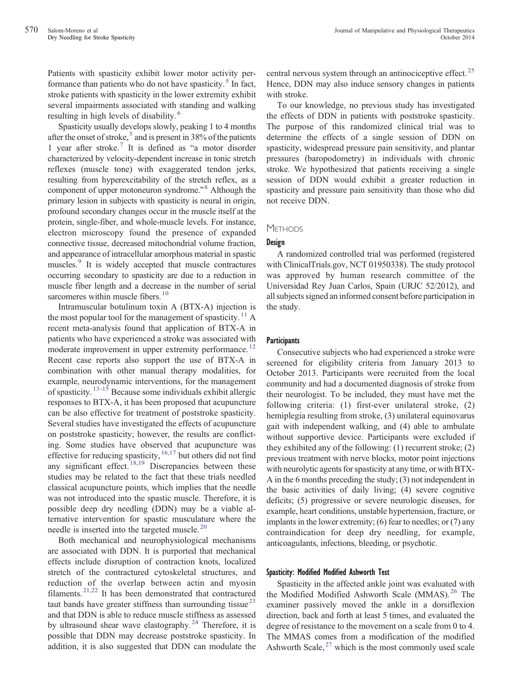Patients with spasticity exhibit lower motor activity per-formance than patients who do not have spasticity[.](#page-9-0)<sup>[5](#page-9-0)</sup> In fact, stroke patients with spasticity in the lower extremity exhibit several impairments associated with standing and walking resulting in high levels of disability[.](#page-9-0)<sup>[6](#page-9-0)</sup>

Spasticity usually develops slowly, peaking 1 to 4 months after the onset of stroke[,](#page-9-0)<sup>[5](#page-9-0)</sup> and is present in  $38\%$  of the patients 1 year after stroke[.](#page-9-0)<sup>[7](#page-9-0)</sup> It is defined as "a motor disorder characterized by velocity-dependent increase in tonic stretch reflexes (muscle tone) with exaggerated tendon jerks, resulting from hyperexcitability of the stretch reflex, as a component of upper motoneuron syndrome.["](#page-9-0)[8](#page-9-0) Although the primary lesion in subjects with spasticity is neural in origin, profound secondary changes occur in the muscle itself at the protein, single-fiber, and whole-muscle levels. For instance, electron microscopy found the presence of expanded connective tissue, decreased mitochondrial volume fraction, and appearance of intracellular amorphous material in spastic muscles[.](#page-9-0)<sup>[9](#page-9-0)</sup> It is widely accepted that muscle contractures occurring secondary to spasticity are due to a reduction in muscle fiber length and a decrease in the number of serial sarcomeres within muscle fibers[.](#page-9-0)<sup>[10](#page-9-0)</sup>

Intramuscular botulinum toxin A (BTX-A) injection is the most popular tool for the management of spasticity[.](#page-9-0)<sup>[11](#page-9-0)</sup> A recent meta-analysis found that application of BTX-A in patients who have experienced a stroke was associated with moderate improvement in upper extremity performance[.](#page-9-0)<sup>[12](#page-9-0)</sup> Recent case reports also support the use of BTX-A in combination with other manual therapy modalities, for example, neurodynamic interventions, for the management of spasticity[.](#page-9-0)<sup>13-15</sup> Because some individuals exhibit allergic responses to BTX-A, it has been proposed that acupuncture can be also effective for treatment of poststroke spasticity. Several studies have investigated the effects of acupuncture on poststroke spasticity; however, the results are conflicting. Some studies have observed that acupuncture was effective for reducing spasticity[,](#page-9-0)  $16,17$  but others did not find any significant effect[.](#page-9-0)<sup>[18,19](#page-9-0)</sup> Discrepancies between these studies may be related to the fact that these trials needled classical acupuncture points, which implies that the needle was not introduced into the spastic muscle. Therefore, it is possible deep dry needling (DDN) may be a viable alternative intervention for spastic musculature where the needle is inserted into the targeted muscle[.](#page-9-0) [20](#page-9-0)

Both mechanical and neurophysiological mechanisms are associated with DDN. It is purported that mechanical effects include disruption of contraction knots, localized stretch of the contractured cytoskeletal structures, and reduction of the overlap between actin and myosin filaments[.](#page-9-0)[21,22](#page-9-0) It has been demonstrated that contractured taut bands hav[e](#page-9-0) greater stiffness than surrounding tissue $^{23}$  $^{23}$  $^{23}$ and that DDN is able to reduce muscle stiffness as assessed by ultrasound shear wave elastography[.](#page-9-0)<sup>[24](#page-9-0)</sup> Therefore, it is possible that DDN may decrease poststroke spasticity. In addition, it is also suggested that DDN can modulate the

central nervous system through an antinociceptive effect[.](#page-9-0)<sup>[25](#page-9-0)</sup> Hence, DDN may also induce sensory changes in patients with stroke.

To our knowledge, no previous study has investigated the effects of DDN in patients with poststroke spasticity. The purpose of this randomized clinical trial was to determine the effects of a single session of DDN on spasticity, widespread pressure pain sensitivity, and plantar pressures (baropodometry) in individuals with chronic stroke. We hypothesized that patients receiving a single session of DDN would exhibit a greater reduction in spasticity and pressure pain sensitivity than those who did not receive DDN.

# **METHODS**

# Design

A randomized controlled trial was performed (registered with ClinicalTrials.gov, NCT 01950338). The study protocol was approved by human research committee of the Universidad Rey Juan Carlos, Spain (URJC 52/2012), and all subjects signed an informed consent before participation in the study.

## **Participants**

Consecutive subjects who had experienced a stroke were screened for eligibility criteria from January 2013 to October 2013. Participants were recruited from the local community and had a documented diagnosis of stroke from their neurologist. To be included, they must have met the following criteria: (1) first-ever unilateral stroke, (2) hemiplegia resulting from stroke, (3) unilateral equinovarus gait with independent walking, and (4) able to ambulate without supportive device. Participants were excluded if they exhibited any of the following: (1) recurrent stroke; (2) previous treatment with nerve blocks, motor point injections with neurolytic agents for spasticity at any time, or with BTX-A in the 6 months preceding the study; (3) not independent in the basic activities of daily living; (4) severe cognitive deficits; (5) progressive or severe neurologic diseases, for example, heart conditions, unstable hypertension, fracture, or implants in the lower extremity; (6) fear to needles; or (7) any contraindication for deep dry needling, for example, anticoagulants, infections, bleeding, or psychotic.

# Spasticity: Modified Modified Ashworth Test

Spasticity in the affected ankle joint was evaluated with the Modified Modified Ashworth Scale (MMAS)[.](#page-10-0)<sup>[26](#page-10-0)</sup> The examiner passively moved the ankle in a dorsiflexion direction, back and forth at least 5 times, and evaluated the degree of resistance to the movement on a scale from 0 to 4. The MMAS comes from a modification of the modified Ashworth Scale[,](#page-10-0)  $27$  which is the most commonly used scale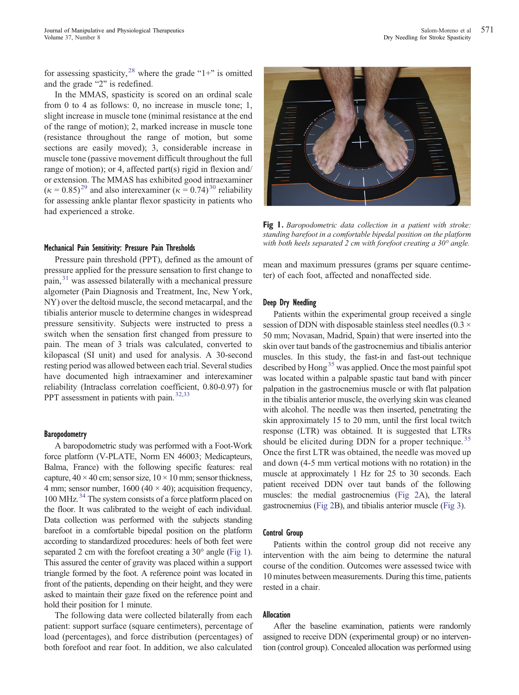for assessing spasticity[,](#page-10-0)  $28$  where the grade "1+" is omitted and the grade "2" is redefined.

In the MMAS, spasticity is scored on an ordinal scale from 0 to 4 as follows: 0, no increase in muscle tone; 1, slight increase in muscle tone (minimal resistance at the end of the range of motion); 2, marked increase in muscle tone (resistance throughout the range of motion, but some sections are easily moved); 3, considerable increase in muscle tone (passive movement difficult throughout the full range of motion); or 4, affected part(s) rigid in flexion and/ or extension. The MMAS has exhibited good intraexaminer  $(\kappa = 0.85)^{29}$  $(\kappa = 0.85)^{29}$  $(\kappa = 0.85)^{29}$  $(\kappa = 0.85)^{29}$  $(\kappa = 0.85)^{29}$  and also interexaminer  $(\kappa = 0.74)^{30}$  $(\kappa = 0.74)^{30}$  $(\kappa = 0.74)^{30}$  reliability for assessing ankle plantar flexor spasticity in patients who had experienced a stroke.

## Mechanical Pain Sensitivity: Pressure Pain Thresholds

Pressure pain threshold (PPT), defined as the amount of pressure applied for the pressure sensation to first change to pain[,](#page-10-0)[31](#page-10-0) was assessed bilaterally with a mechanical pressure algometer (Pain Diagnosis and Treatment, Inc, New York, NY) over the deltoid muscle, the second metacarpal, and the tibialis anterior muscle to determine changes in widespread pressure sensitivity. Subjects were instructed to press a switch when the sensation first changed from pressure to pain. The mean of 3 trials was calculated, converted to kilopascal (SI unit) and used for analysis. A 30-second resting period was allowed between each trial. Several studies have documented high intraexaminer and interexaminer reliability (Intraclass correlation coefficient, 0.80-0.97) for PPT assessment in patients with pain[.](#page-10-0)<sup>[32,33](#page-10-0)</sup>

# **Baropodometry**

A baropodometric study was performed with a Foot-Work force platform (V-PLATE, Norm EN 46003; Medicapteurs, Balma, France) with the following specific features: real capture,  $40 \times 40$  cm; sensor size,  $10 \times 10$  mm; sensor thickness, 4 mm; sensor number,  $1600 (40 \times 40)$ ; acquisition frequency, 100 MHz[.](#page-10-0)<sup>[34](#page-10-0)</sup> The system consists of a force platform placed on the floor. It was calibrated to the weight of each individual. Data collection was performed with the subjects standing barefoot in a comfortable bipedal position on the platform according to standardized procedures: heels of both feet were separated 2 cm with the forefoot creating a 30° angle (Fig 1). This assured the center of gravity was placed within a support triangle formed by the foot. A reference point was located in front of the patients, depending on their height, and they were asked to maintain their gaze fixed on the reference point and hold their position for 1 minute.

The following data were collected bilaterally from each patient: support surface (square centimeters), percentage of load (percentages), and force distribution (percentages) of both forefoot and rear foot. In addition, we also calculated



Fig 1. Baropodometric data collection in a patient with stroke: standing barefoot in a comfortable bipedal position on the platform with both heels separated 2 cm with forefoot creating a 30° angle.

mean and maximum pressures (grams per square centimeter) of each foot, affected and nonaffected side.

# Deep Dry Needling

Patients within the experimental group received a single session of DDN with disposable stainless steel needles (0.3  $\times$ 50 mm; Novasan, Madrid, Spain) that were inserted into the skin over taut bands of the gastrocnemius and tibialis anterior muscles. In this study, the fast-in and fast-out technique described by  $\text{Hong}^{35}$  $\text{Hong}^{35}$  $\text{Hong}^{35}$  $\text{Hong}^{35}$  $\text{Hong}^{35}$  was applied. Once the most painful spot was located within a palpable spastic taut band with pincer palpation in the gastrocnemius muscle or with flat palpation in the tibialis anterior muscle, the overlying skin was cleaned with alcohol. The needle was then inserted, penetrating the skin approximately 15 to 20 mm, until the first local twitch response (LTR) was obtained. It is suggested that LTRs should be elicited during DDN for a proper technique[.](#page-10-0)<sup>[35](#page-10-0)</sup> Once the first LTR was obtained, the needle was moved up and down (4-5 mm vertical motions with no rotation) in the muscle at approximately 1 Hz for 25 to 30 seconds. Each patient received DDN over taut bands of the following muscles: the medial gastrocnemius ([Fig 2](#page-3-0)A), the lateral gastrocnemius ([Fig 2B](#page-3-0)), and tibialis anterior muscle ([Fig 3\)](#page-3-0).

#### Control Group

Patients within the control group did not receive any intervention with the aim being to determine the natural course of the condition. Outcomes were assessed twice with 10 minutes between measurements. During this time, patients rested in a chair.

# Allocation

After the baseline examination, patients were randomly assigned to receive DDN (experimental group) or no intervention (control group). Concealed allocation was performed using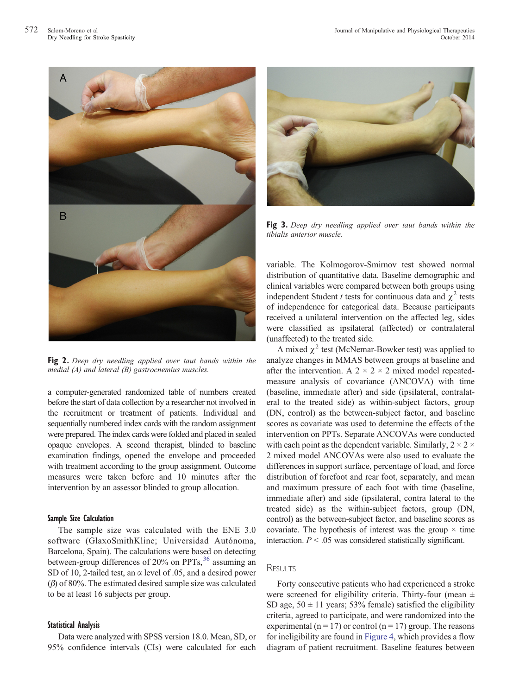<span id="page-3-0"></span>

Fig 2. Deep dry needling applied over taut bands within the medial (A) and lateral (B) gastrocnemius muscles.

a computer-generated randomized table of numbers created before the start of data collection by a researcher not involved in the recruitment or treatment of patients. Individual and sequentially numbered index cards with the random assignment were prepared. The index cards were folded and placed in sealed opaque envelopes. A second therapist, blinded to baseline examination findings, opened the envelope and proceeded with treatment according to the group assignment. Outcome measures were taken before and 10 minutes after the intervention by an assessor blinded to group allocation.

#### Sample Size Calculation

The sample size was calculated with the ENE 3.0 software (GlaxoSmithKline; Universidad Autónoma, Barcelona, Spain). The calculations were based on detecting between-group differences of  $20\%$  on PPTs[,](#page-10-0)  $36$  assuming an SD of 10, 2-tailed test, an  $\alpha$  level of .05, and a desired power  $(\beta)$  of 80%. The estimated desired sample size was calculated to be at least 16 subjects per group.

# Statistical Analysis

Data were analyzed with SPSS version 18.0. Mean, SD, or 95% confidence intervals (CIs) were calculated for each



Fig 3. Deep dry needling applied over taut bands within the tibialis anterior muscle.

variable. The Kolmogorov-Smirnov test showed normal distribution of quantitative data. Baseline demographic and clinical variables were compared between both groups using independent Student t tests for continuous data and  $\chi^2$  tests of independence for categorical data. Because participants received a unilateral intervention on the affected leg, sides were classified as ipsilateral (affected) or contralateral (unaffected) to the treated side.

A mixed  $\chi^2$  test (McNemar-Bowker test) was applied to analyze changes in MMAS between groups at baseline and after the intervention. A  $2 \times 2 \times 2$  mixed model repeatedmeasure analysis of covariance (ANCOVA) with time (baseline, immediate after) and side (ipsilateral, contralateral to the treated side) as within-subject factors, group (DN, control) as the between-subject factor, and baseline scores as covariate was used to determine the effects of the intervention on PPTs. Separate ANCOVAs were conducted with each point as the dependent variable. Similarly,  $2 \times 2 \times$ 2 mixed model ANCOVAs were also used to evaluate the differences in support surface, percentage of load, and force distribution of forefoot and rear foot, separately, and mean and maximum pressure of each foot with time (baseline, immediate after) and side (ipsilateral, contra lateral to the treated side) as the within-subject factors, group (DN, control) as the between-subject factor, and baseline scores as covariate. The hypothesis of interest was the group  $\times$  time interaction.  $P < .05$  was considered statistically significant.

# **RESULTS**

Forty consecutive patients who had experienced a stroke were screened for eligibility criteria. Thirty-four (mean  $\pm$ SD age,  $50 \pm 11$  years; 53% female) satisfied the eligibility criteria, agreed to participate, and were randomized into the experimental ( $n = 17$ ) or control ( $n = 17$ ) group. The reasons for ineligibility are found in [Figure 4,](#page-4-0) which provides a flow diagram of patient recruitment. Baseline features between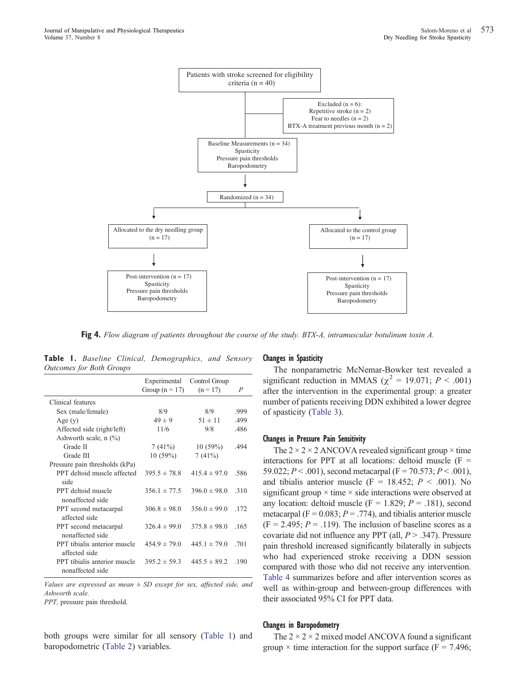<span id="page-4-0"></span>

Fig 4. Flow diagram of patients throughout the course of the study. BTX-A, intramuscular botulinum toxin A.

Table 1. Baseline Clinical, Demographics, and Sensory Outcomes for Both Groups

|                                                  | Experimental<br>Group ( $n = 17$ ) | Control Group<br>$(n = 17)$ | P    |
|--------------------------------------------------|------------------------------------|-----------------------------|------|
| Clinical features                                |                                    |                             |      |
| Sex (male/female)                                | 8/9                                | 8/9                         | .999 |
| Age $(y)$                                        | $49 \pm 9$                         | $51 \pm 11$                 | .499 |
| Affected side (right/left)                       | 11/6                               | 9/8                         | .486 |
| Ashworth scale, $n$ $(\%)$                       |                                    |                             |      |
| Grade II                                         | 7(41%)                             | 10(59%)                     | .494 |
| Grade III                                        | 10(59%)                            | 7(41%)                      |      |
| Pressure pain thresholds (kPa)                   |                                    |                             |      |
| PPT deltoid muscle affected<br>side              | 395 5 $\pm$ 78 8                   | $4154 \pm 970$              | -586 |
| PPT deltoid muscle                               | $356.1 \pm 77.5$                   | $396.0 \pm 98.0$            | .310 |
| nonaffected side                                 |                                    |                             |      |
| PPT second metacarpal                            | $306.8 \pm 98.0$                   | $356.0 \pm 99.0$            | .172 |
| affected side                                    |                                    |                             |      |
| PPT second metacarpal<br>nonaffected side        | $326.4 \pm 99.0$                   | $375.8 \pm 98.0$            | 165  |
| PPT tibialis anterior muscle<br>affected side    | $4549 \pm 790$                     | 445 1 $\pm$ 79 0            | 701  |
| PPT tibialis anterior muscle<br>nonaffected side | $395.2 \pm 59.3$                   | $4455 \pm 892$              | .190 |

Values are expressed as mean  $\pm$  SD except for sex, affected side, and Ashworth scale.

PPT, pressure pain threshold.

both groups were similar for all sensory (Table 1) and baropodometric ([Table 2](#page-5-0)) variables.

#### Changes in Spasticity

The nonparametric McNemar-Bowker test revealed a significant reduction in MMAS ( $\chi^2$  = 19.071; P < .001) after the intervention in the experimental group: a greater number of patients receiving DDN exhibited a lower degree of spasticity [\(Table 3\)](#page-5-0).

## Changes in Pressure Pain Sensitivity

The  $2 \times 2 \times 2$  ANCOVA revealed significant group  $\times$  time interactions for PPT at all locations: deltoid muscle  $(F =$ 59.022;  $P < .001$ ), second metacarpal (F = 70.573;  $P < .001$ ), and tibialis anterior muscle (F = 18.452;  $P < .001$ ). No significant group  $\times$  time  $\times$  side interactions were observed at any location: deltoid muscle (F = 1.829;  $P = .181$ ), second metacarpal ( $F = 0.083$ ;  $P = .774$ ), and tibialis anterior muscle  $(F = 2.495; P = .119)$ . The inclusion of baseline scores as a covariate did not influence any PPT (all,  $P > .347$ ). Pressure pain threshold increased significantly bilaterally in subjects who had experienced stroke receiving a DDN session compared with those who did not receive any intervention. [Table 4](#page-6-0) summarizes before and after intervention scores as well as within-group and between-group differences with their associated 95% CI for PPT data.

## Changes in Baropodometry

The  $2 \times 2 \times 2$  mixed model ANCOVA found a significant group  $\times$  time interaction for the support surface (F = 7.496;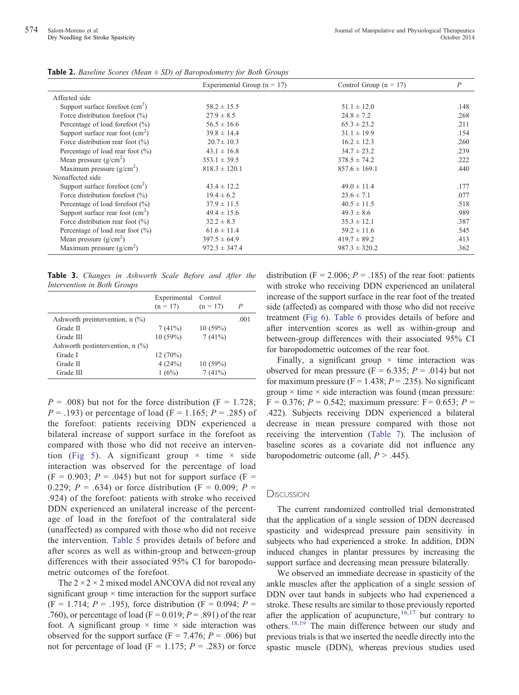|                                      | Experimental Group ( $n = 17$ ) | Control Group $(n = 17)$ | Р    |
|--------------------------------------|---------------------------------|--------------------------|------|
| Affected side                        |                                 |                          |      |
| Support surface forefoot $(cm2)$     | $58.2 \pm 15.5$                 | $51.1 \pm 12.0$          | .148 |
| Force distribution forefoot $(\%)$   | $27.9 \pm 8.5$                  | $24.8 \pm 7.2$           | .268 |
| Percentage of load forefoot (%)      | $56.5 \pm 16.6$                 | $65.3 \pm 23.2$          | .211 |
| Support surface rear foot $(cm2)$    | $39.8 \pm 14.4$                 | $31.1 \pm 19.9$          | .154 |
| Force distribution rear foot $(\%)$  | $20.7 \pm 10.3$                 | $16.2 \pm 12.3$          | .260 |
| Percentage of load rear foot $(\%)$  | $43.1 \pm 16.8$                 | $34.7 \pm 23.2$          | .239 |
| Mean pressure $(g/cm2)$              | $353.1 \pm 39.5$                | $378.5 \pm 74.2$         | .222 |
| Maximum pressure $(g/cm^2)$          | $818.3 \pm 120.1$               | $857.6 \pm 169.1$        | .440 |
| Nonaffected side                     |                                 |                          |      |
| Support surface forefoot $(cm2)$     | $43.4 \pm 12.2$                 | $49.0 \pm 11.4$          | .177 |
| Force distribution forefoot $(\%)$   | $19.4 \pm 6.2$                  | $23.6 \pm 7.1$           | .077 |
| Percentage of load forefoot $(\%)$   | $37.9 \pm 11.5$                 | $40.5 \pm 11.5$          | .518 |
| Support surface rear foot $(cm2)$    | $49.4 \pm 15.6$                 | $49.3 \pm 8.6$           | .989 |
| Force distribution rear foot $(\%)$  | $32.2 \pm 8.3$                  | $35.3 \pm 12.1$          | .387 |
| Percentage of load rear foot $(\% )$ | $61.6 \pm 11.4$                 | $59.2 \pm 11.6$          | .545 |
| Mean pressure $(g/cm2)$              | $397.5 \pm 64.9$                | $419.7 \pm 89.2$         | .413 |
| Maximum pressure $(g/cm^2)$          | $972.3 \pm 347.4$               | $987.3 \pm 320.2$        | .362 |

<span id="page-5-0"></span>**Table 2.** Baseline Scores (Mean  $\pm$  SD) of Baropodometry for Both Groups

Table 3. Changes in Ashworth Scale Before and After the Intervention in Both Groups

|                                              | Experimental<br>$(n = 17)$ | Control<br>$(n = 17)$ | P    |
|----------------------------------------------|----------------------------|-----------------------|------|
| Ashworth preintervention, $n$ $\binom{0}{0}$ |                            |                       | .001 |
| Grade II                                     | 7(41%)                     | $10(59\%)$            |      |
| Grade III                                    | $10(59\%)$                 | 7(41%)                |      |
| Ashworth postintervention, $n \binom{0}{0}$  |                            |                       |      |
| Grade I                                      | 12(70%)                    |                       |      |
| Grade II                                     | 4(24%)                     | $10(59\%)$            |      |
| Grade III                                    | 1(6%)                      | 7(41%)                |      |

 $P = .008$ ) but not for the force distribution (F = 1.728;  $P = .193$ ) or percentage of load (F = 1.165; P = .285) of the forefoot: patients receiving DDN experienced a bilateral increase of support surface in the forefoot as compared with those who did not receive an interven-tion ([Fig 5\)](#page-6-0). A significant group  $\times$  time  $\times$  side interaction was observed for the percentage of load  $(F = 0.903; P = .045)$  but not for support surface  $(F = 0.903; P = .045)$ 0.229;  $P = .634$ ) or force distribution (F = 0.009;  $P =$ .924) of the forefoot: patients with stroke who received DDN experienced an unilateral increase of the percentage of load in the forefoot of the contralateral side (unaffected) as compared with those who did not receive the intervention. [Table 5](#page-7-0) provides details of before and after scores as well as within-group and between-group differences with their associated 95% CI for baropodometric outcomes of the forefoot.

The  $2 \times 2 \times 2$  mixed model ANCOVA did not reveal any significant group  $\times$  time interaction for the support surface  $(F = 1.714; P = .195)$ , force distribution  $(F = 0.094; P = 1.714; P = .195)$ .760), or percentage of load (F = 0.019;  $P = .891$ ) of the rear foot. A significant group  $\times$  time  $\times$  side interaction was observed for the support surface ( $F = 7.476$ ;  $P = .006$ ) but not for percentage of load (F = 1.175;  $P = .283$ ) or force distribution (F = 2.006;  $P = .185$ ) of the rear foot: patients with stroke who receiving DDN experienced an unilateral increase of the support surface in the rear foot of the treated side (affected) as compared with those who did not receive treatment ([Fig 6\)](#page-7-0). [Table 6](#page-8-0) provides details of before and after intervention scores as well as within-group and between-group differences with their associated 95% CI for baropodometric outcomes of the rear foot.

Finally, a significant group  $\times$  time interaction was observed for mean pressure ( $F = 6.335$ ;  $P = .014$ ) but not for maximum pressure ( $F = 1.438$ ;  $P = .235$ ). No significant group  $\times$  time  $\times$  side interaction was found (mean pressure:  $F = 0.376$ ;  $P = 0.542$ ; maximum pressure:  $F = 0.653$ ;  $P =$ .422). Subjects receiving DDN experienced a bilateral decrease in mean pressure compared with those not receiving the intervention [\(Table 7\)](#page-8-0). The inclusion of baseline scores as a covariate did not influence any baropodometric outcome (all,  $P > .445$ ).

# **DISCUSSION**

The current randomized controlled trial demonstrated that the application of a single session of DDN decreased spasticity and widespread pressure pain sensitivity in subjects who had experienced a stroke. In addition, DDN induced changes in plantar pressures by increasing the support surface and decreasing mean pressure bilaterally.

We observed an immediate decrease in spasticity of the ankle muscles after the application of a single session of DDN over taut bands in subjects who had experienced a stroke. These results are similar to those previously reported after the application of acupuncture[,](#page-9-0)  $16,17$  but contrary to others[.](#page-9-0)<sup>[18,19](#page-9-0)</sup> The main difference between our study and previous trials is that we inserted the needle directly into the spastic muscle (DDN), whereas previous studies used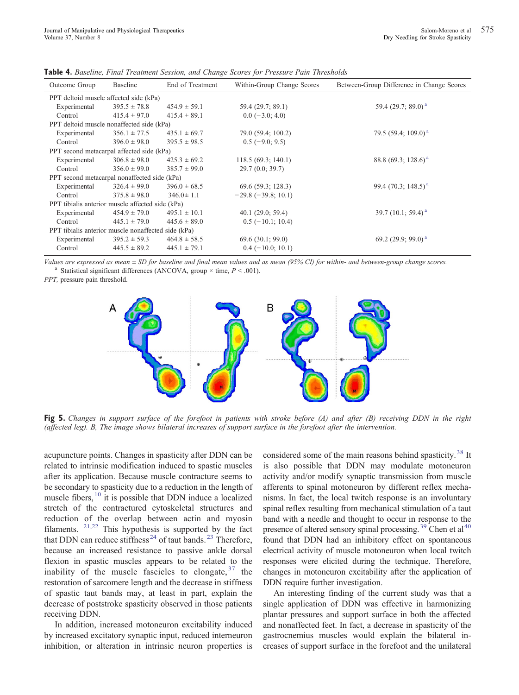| Outcome Group                                       | <b>Baseline</b>  | End of Treatment | Within-Group Change Scores | Between-Group Difference in Change Scores |
|-----------------------------------------------------|------------------|------------------|----------------------------|-------------------------------------------|
| PPT deltoid muscle affected side (kPa)              |                  |                  |                            |                                           |
| Experimental                                        | $395.5 \pm 78.8$ | $454.9 \pm 59.1$ | 59.4 (29.7; 89.1)          | 59.4 (29.7; 89.0) <sup>a</sup>            |
| Control                                             | $415.4 \pm 97.0$ | $415.4 \pm 89.1$ | $0.0$ (-3.0; 4.0)          |                                           |
| PPT deltoid muscle nonaffected side (kPa)           |                  |                  |                            |                                           |
| Experimental                                        | $356.1 \pm 77.5$ | $435.1 \pm 69.7$ | 79.0 (59.4; 100.2)         | 79.5 $(59.4; 109.0)^{a}$                  |
| Control                                             | $396.0 \pm 98.0$ | $395.5 \pm 98.5$ | $0.5$ (-9.0; 9.5)          |                                           |
| PPT second metacarpal affected side (kPa)           |                  |                  |                            |                                           |
| Experimental                                        | $306.8 \pm 98.0$ | $425.3 \pm 69.2$ | 118.5(69.3; 140.1)         | 88.8 $(69.3; 128.6)^a$                    |
| Control                                             | $356.0 \pm 99.0$ | $385.7 \pm 99.0$ | 29.7(0.0; 39.7)            |                                           |
| PPT second metacarpal nonaffected side (kPa)        |                  |                  |                            |                                           |
| Experimental                                        | $326.4 \pm 99.0$ | $396.0 \pm 68.5$ | 69.6 (59.3; 128.3)         | 99.4 $(70.3; 148.5)^{a}$                  |
| Control                                             | $375.8 \pm 98.0$ | $346.0 \pm 1.1$  | $-29.8$ ( $-39.8$ ; 10.1)  |                                           |
| PPT tibialis anterior muscle affected side (kPa)    |                  |                  |                            |                                           |
| Experimental                                        | $454.9 \pm 79.0$ | $495.1 \pm 10.1$ | 40.1(29.0; 59.4)           | 39.7 $(10.1; 59.4)^{a}$                   |
| Control                                             | $445.1 \pm 79.0$ | $445.6 \pm 89.0$ | $0.5$ (-10.1; 10.4)        |                                           |
| PPT tibialis anterior muscle nonaffected side (kPa) |                  |                  |                            |                                           |
| Experimental                                        | $395.2 \pm 59.3$ | $464.8 \pm 58.5$ | 69.6(30.1; 99.0)           | 69.2 (29.9; 99.0) <sup>a</sup>            |
| Control                                             | $445.5 \pm 89.2$ | $445.1 \pm 79.1$ | $0.4$ (-10.0; 10.1)        |                                           |

<span id="page-6-0"></span>Table 4. Baseline, Final Treatment Session, and Change Scores for Pressure Pain Thresholds

Values are expressed as mean  $\pm$  SD for baseline and final mean values and as mean (95% CI) for within- and between-group change scores. <sup>a</sup> Statistical significant differences (ANCOVA, group  $\times$  time,  $P < .001$ ).

PPT, pressure pain threshold.



Fig 5. Changes in support surface of the forefoot in patients with stroke before  $(A)$  and after  $(B)$  receiving DDN in the right (affected leg). B, The image shows bilateral increases of support surface in the forefoot after the intervention.

acupuncture points. Changes in spasticity after DDN can be related to intrinsic modification induced to spastic muscles after its application. Because muscle contracture seems to be secondary to spasticity due to a reduction in the length of muscle fibers[,](#page-9-0)  $10$  it is possible that DDN induce a localized stretch of the contractured cytoskeletal structures and reduction of the overlap between actin and myosin filaments.  $21,22$  This hypothesis is supported by the fact that DDN can reduce [s](#page-9-0)tiffness<sup>[24](#page-9-0)</sup> of taut bands[.](#page-9-0)<sup>[23](#page-9-0)</sup> Therefore, because an increased resistance to passive ankle dorsal flexion in spastic muscles appears to be related to the inability of the muscle fascicles to elongate[,](#page-10-0)  $37$  the restoration of sarcomere length and the decrease in stiffness of spastic taut bands may, at least in part, explain the decrease of poststroke spasticity observed in those patients receiving DDN.

In addition, increased motoneuron excitability induced by increased excitatory synaptic input, reduced interneuron inhibition, or alteration in intrinsic neuron properties is considered some of the main reasons behind spasticity[.](#page-10-0)<sup>[38](#page-10-0)</sup> It is also possible that DDN may modulate motoneuron activity and/or modify synaptic transmission from muscle afferents to spinal motoneuron by different reflex mechanisms. In fact, the local twitch response is an involuntary spinal reflex resulting from mechanical stimulation of a taut band with a needle and thought to occur in response to the presence of altered sensory spinal processing[.](#page-10-0)<sup>[39](#page-10-0)</sup> Chen et a[l](#page-10-0)<sup>[40](#page-10-0)</sup> found that DDN had an inhibitory effect on spontaneous electrical activity of muscle motoneuron when local twitch responses were elicited during the technique. Therefore, changes in motoneuron excitability after the application of DDN require further investigation.

An interesting finding of the current study was that a single application of DDN was effective in harmonizing plantar pressures and support surface in both the affected and nonaffected feet. In fact, a decrease in spasticity of the gastrocnemius muscles would explain the bilateral increases of support surface in the forefoot and the unilateral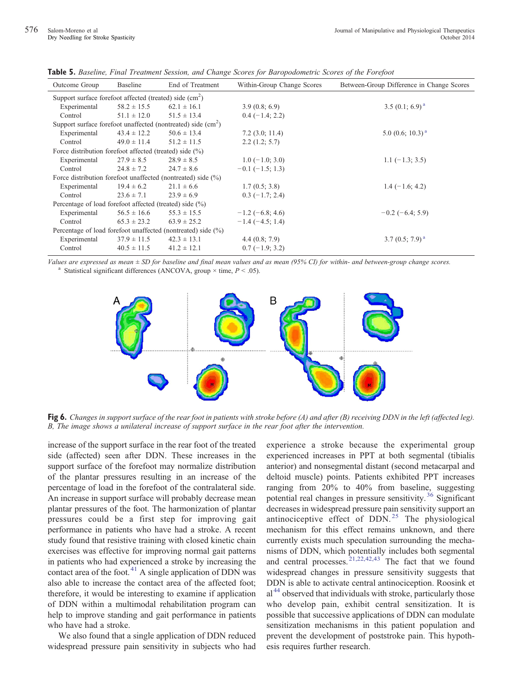| Outcome Group                                                   | <b>Baseline</b> | End of Treatment                                                      | Within-Group Change Scores | Between-Group Difference in Change Scores |
|-----------------------------------------------------------------|-----------------|-----------------------------------------------------------------------|----------------------------|-------------------------------------------|
| Support surface forefoot affected (treated) side $(cm2)$        |                 |                                                                       |                            |                                           |
| Experimental                                                    | $58.2 \pm 15.5$ | $62.1 \pm 16.1$                                                       | 3.9(0.8; 6.9)              | 3.5 $(0.1; 6.9)^{a}$                      |
| Control                                                         | $51.1 \pm 12.0$ | $51.5 \pm 13.4$                                                       | $0.4 (-1.4; 2.2)$          |                                           |
|                                                                 |                 | Support surface forefoot unaffected (nontreated) side $\text{cm}^2$ ) |                            |                                           |
| Experimental                                                    | $43.4 \pm 12.2$ | $50.6 \pm 13.4$                                                       | $7.2$ $(3.0; 11.4)$        | 5.0 $(0.6; 10.3)^{a}$                     |
| Control                                                         | $49.0 \pm 11.4$ | $51.2 \pm 11.5$                                                       | 2.2(1.2; 5.7)              |                                           |
| Force distribution forefoot affected (treated) side $(\%)$      |                 |                                                                       |                            |                                           |
| Experimental                                                    | $27.9 \pm 8.5$  | $28.9 \pm 8.5$                                                        | $1.0$ (-1.0; 3.0)          | $1.1$ (-1.3; 3.5)                         |
| Control                                                         | $24.8 \pm 7.2$  | $24.7 \pm 8.6$                                                        | $-0.1$ ( $-1.5$ ; 1.3)     |                                           |
|                                                                 |                 | Force distribution forefoot unaffected (nontreated) side $(\%)$       |                            |                                           |
| Experimental                                                    | $19.4 \pm 6.2$  | $21.1 \pm 6.6$                                                        | 1.7(0.5; 3.8)              | $1.4$ (-1.6; 4.2)                         |
| Control                                                         | $23.6 \pm 7.1$  | $23.9 \pm 6.9$                                                        | $0.3$ (-1.7; 2.4)          |                                           |
| Percentage of load forefoot affected (treated) side $(\%)$      |                 |                                                                       |                            |                                           |
| Experimental                                                    | $56.5 \pm 16.6$ | $55.3 \pm 15.5$                                                       | $-1.2$ (-6.8; 4.6)         | $-0.2$ (-6.4; 5.9)                        |
| Control                                                         | $65.3 \pm 23.2$ | $63.9 \pm 25.2$                                                       | $-1.4$ (-4.5; 1.4)         |                                           |
| Percentage of load forefoot unaffected (nontreated) side $(\%)$ |                 |                                                                       |                            |                                           |
| Experimental                                                    | $37.9 \pm 11.5$ | $42.3 \pm 13.1$                                                       | 4.4(0.8; 7.9)              | 3.7 $(0.5; 7.9)^{a}$                      |
| Control                                                         | $40.5 \pm 11.5$ | $41.2 \pm 12.1$                                                       | $0.7$ (-1.9; 3.2)          |                                           |

<span id="page-7-0"></span>Table 5. Baseline, Final Treatment Session, and Change Scores for Baropodometric Scores of the Forefoot

Values are expressed as mean ± SD for baseline and final mean values and as mean (95% CI) for within- and between-group change scores. <sup>a</sup> Statistical significant differences (ANCOVA, group  $\times$  time,  $P < .05$ ).



**Fig 6.** Changes in support surface of the rear foot in patients with stroke before (A) and after (B) receiving DDN in the left (affected leg). B, The image shows a unilateral increase of support surface in the rear foot after the intervention.

increase of the support surface in the rear foot of the treated side (affected) seen after DDN. These increases in the support surface of the forefoot may normalize distribution of the plantar pressures resulting in an increase of the percentage of load in the forefoot of the contralateral side. An increase in support surface will probably decrease mean plantar pressures of the foot. The harmonization of plantar pressures could be a first step for improving gait performance in patients who have had a stroke. A recent study found that resistive training with closed kinetic chain exercises was effective for improving normal gait patterns in patients who had experienced a stroke by increasing the contact area of the foot[.](#page-10-0) $41$  A single application of DDN was also able to increase the contact area of the affected foot; therefore, it would be interesting to examine if application of DDN within a multimodal rehabilitation program can help to improve standing and gait performance in patients who have had a stroke.

We also found that a single application of DDN reduced widespread pressure pain sensitivity in subjects who had

experience a stroke because the experimental group experienced increases in PPT at both segmental (tibialis anterior) and nonsegmental distant (second metacarpal and deltoid muscle) points. Patients exhibited PPT increases ranging from 20% to 40% from baseline, suggesting potential real changes in pressure sensitivity[.](#page-10-0)<sup>[36](#page-10-0)</sup> Significant decreases in widespread pressure pain sensitivity support an antinociceptive effect of DDN[.](#page-9-0)<sup>[25](#page-9-0)</sup> The physiological mechanism for this effect remains unknown, and there currently exists much speculation surrounding the mechanisms of DDN, which potentially includes both segmental and central processes[.](#page-9-0) $21,22,42,43$  The fact that we found widespread changes in pressure sensitivity suggests that DDN is able to activate central antinociception. Roosink et a[l](#page-10-0)<sup>[44](#page-10-0)</sup> observed that individuals with stroke, particularly those who develop pain, exhibit central sensitization. It is possible that successive applications of DDN can modulate sensitization mechanisms in this patient population and prevent the development of poststroke pain. This hypothesis requires further research.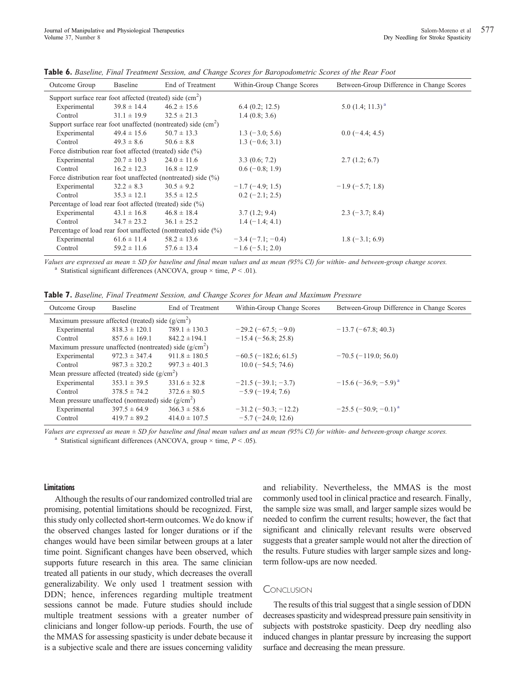| Outcome Group                                                     | Baseline        | End of Treatment                                                              | Within-Group Change Scores | Between-Group Difference in Change Scores |
|-------------------------------------------------------------------|-----------------|-------------------------------------------------------------------------------|----------------------------|-------------------------------------------|
| Support surface rear foot affected (treated) side $\text{cm}^2$ ) |                 |                                                                               |                            |                                           |
| Experimental                                                      | $39.8 \pm 14.4$ | $46.2 \pm 15.6$                                                               | 6.4(0.2; 12.5)             | 5.0 $(1.4; 11.3)^{a}$                     |
| Control                                                           | $31.1 \pm 19.9$ | $32.5 \pm 21.3$                                                               | 1.4(0.8; 3.6)              |                                           |
|                                                                   |                 | Support surface rear foot unaffected (nontreated) side $\text{(cm}^2\text{)}$ |                            |                                           |
| Experimental                                                      | $49.4 \pm 15.6$ | $50.7 \pm 13.3$                                                               | $1.3$ (-3.0; 5.6)          | $0.0$ (-4.4; 4.5)                         |
| Control                                                           | $49.3 \pm 8.6$  | $50.6 \pm 8.8$                                                                | $1.3(-0.6; 3.1)$           |                                           |
| Force distribution rear foot affected (treated) side $(\%)$       |                 |                                                                               |                            |                                           |
| Experimental                                                      | $20.7 \pm 10.3$ | $24.0 \pm 11.6$                                                               | 3.3(0.6; 7.2)              | 2.7(1.2; 6.7)                             |
| Control                                                           | $16.2 \pm 12.3$ | $16.8 \pm 12.9$                                                               | $0.6(-0.8; 1.9)$           |                                           |
|                                                                   |                 | Force distribution rear foot unaffected (nontreated) side $(\%)$              |                            |                                           |
| Experimental                                                      | $32.2 \pm 8.3$  | $30.5 \pm 9.2$                                                                | $-1.7$ (-4.9; 1.5)         | $-1.9$ (-5.7; 1.8)                        |
| Control                                                           | $35.3 \pm 12.1$ | $35.5 \pm 12.5$                                                               | $0.2$ (-2.1; 2.5)          |                                           |
| Percentage of load rear foot affected (treated) side (%)          |                 |                                                                               |                            |                                           |
| Experimental                                                      | $43.1 \pm 16.8$ | $46.8 \pm 18.4$                                                               | 3.7(1.2; 9.4)              | $2.3$ (-3.7; 8.4)                         |
| Control                                                           | $34.7 \pm 23.2$ | $36.1 \pm 25.2$                                                               | $1.4(-1.4; 4.1)$           |                                           |
| Percentage of load rear foot unaffected (nontreated) side $(\%)$  |                 |                                                                               |                            |                                           |
| Experimental                                                      | $61.6 \pm 11.4$ | $58.2 \pm 13.6$                                                               | $-3.4$ ( $-7.1$ ; $-0.4$ ) | $1.8$ (-3.1; 6.9)                         |
| Control                                                           | $59.2 \pm 11.6$ | $57.6 \pm 13.4$                                                               | $-1.6$ (-5.1; 2.0)         |                                           |

<span id="page-8-0"></span>Table 6. Baseline, Final Treatment Session, and Change Scores for Baropodometric Scores of the Rear Foot

Values are expressed as mean  $\pm$  SD for baseline and final mean values and as mean (95% CI) for within- and between-group change scores. <sup>a</sup> Statistical significant differences (ANCOVA, group  $\times$  time,  $P < .01$ ).

Table 7. Baseline, Final Treatment Session, and Change Scores for Mean and Maximum Pressure

| Outcome Group                                           | <b>Baseline</b>   | End of Treatment  | Within-Group Change Scores    | Between-Group Difference in Change Scores |
|---------------------------------------------------------|-------------------|-------------------|-------------------------------|-------------------------------------------|
| Maximum pressure affected (treated) side $(g/cm2)$      |                   |                   |                               |                                           |
| Experimental                                            | $818.3 \pm 120.1$ | $789.1 \pm 130.3$ | $-29.2$ (-67.5; -9.0)         | $-13.7(-67.8; 40.3)$                      |
| Control                                                 | $857.6 \pm 169.1$ | $842.2 \pm 194.1$ | $-15.4$ ( $-56.8$ ; 25.8)     |                                           |
| Maximum pressure unaffected (nontreated) side $(g/cm2)$ |                   |                   |                               |                                           |
| Experimental                                            | $972.3 \pm 347.4$ | $911.8 \pm 180.5$ | $-60.5$ ( $-182.6$ ; 61.5)    | $-70.5$ ( $-119.0$ ; 56.0)                |
| Control                                                 | $987.3 \pm 320.2$ | $997.3 \pm 401.3$ | $10.0$ (-54.5; 74.6)          |                                           |
| Mean pressure affected (treated) side $(g/cm2)$         |                   |                   |                               |                                           |
| Experimental                                            | $353.1 \pm 39.5$  | $331.6 \pm 32.8$  | $-21.5$ ( $-39.1$ ; $-3.7$ )  | $-15.6$ (-36.9; -5.9) <sup>a</sup>        |
| Control                                                 | $378.5 \pm 74.2$  | $372.6 \pm 80.5$  | $-5.9$ ( $-19.4$ ; 7.6)       |                                           |
| Mean pressure unaffected (nontreated) side $(g/cm2)$    |                   |                   |                               |                                           |
| Experimental                                            | $397.5 \pm 64.9$  | $366.3 \pm 58.6$  | $-31.2$ ( $-50.3$ ; $-12.2$ ) | $-25.5$ (-50.9; -0.1) <sup>a</sup>        |
| Control                                                 | $419.7 \pm 89.2$  | $414.0 \pm 107.5$ | $-5.7$ ( $-24.0$ ; 12.6)      |                                           |

Values are expressed as mean ± SD for baseline and final mean values and as mean (95% CI) for within- and between-group change scores.

<sup>a</sup> Statistical significant differences (ANCOVA, group  $\times$  time,  $P < .05$ ).

# **Limitations**

Although the results of our randomized controlled trial are promising, potential limitations should be recognized. First, this study only collected short-term outcomes. We do know if the observed changes lasted for longer durations or if the changes would have been similar between groups at a later time point. Significant changes have been observed, which supports future research in this area. The same clinician treated all patients in our study, which decreases the overall generalizability. We only used 1 treatment session with DDN; hence, inferences regarding multiple treatment sessions cannot be made. Future studies should include multiple treatment sessions with a greater number of clinicians and longer follow-up periods. Fourth, the use of the MMAS for assessing spasticity is under debate because it is a subjective scale and there are issues concerning validity

and reliability. Nevertheless, the MMAS is the most commonly used tool in clinical practice and research. Finally, the sample size was small, and larger sample sizes would be needed to confirm the current results; however, the fact that significant and clinically relevant results were observed suggests that a greater sample would not alter the direction of the results. Future studies with larger sample sizes and longterm follow-ups are now needed.

# **CONCLUSION**

The results of this trial suggest that a single session of DDN decreases spasticity and widespread pressure pain sensitivity in subjects with poststroke spasticity. Deep dry needling also induced changes in plantar pressure by increasing the support surface and decreasing the mean pressure.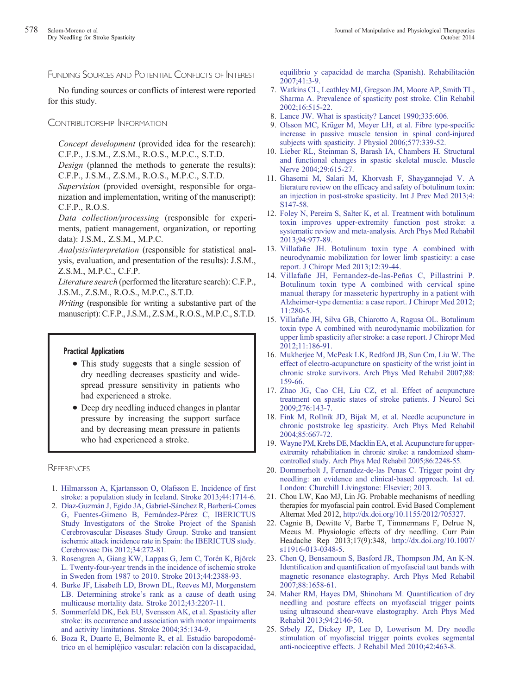# <span id="page-9-0"></span>FUNDING SOURCES AND POTENTIAL CONFLICTS OF INTEREST

No funding sources or conflicts of interest were reported for this study.

# CONTRIBUTORSHIP INFORMATION

Concept development (provided idea for the research): C.F.P., J.S.M., Z.S.M., R.O.S., M.P.C., S.T.D.

Design (planned the methods to generate the results): C.F.P., J.S.M., Z.S.M., R.O.S., M.P.C., S.T.D.

Supervision (provided oversight, responsible for organization and implementation, writing of the manuscript): C.F.P., R.O.S.

Data collection/processing (responsible for experiments, patient management, organization, or reporting data): J.S.M., Z.S.M., M.P.C.

Analysis/interpretation (responsible for statistical analysis, evaluation, and presentation of the results): J.S.M., Z.S.M., M.P.C., C.F.P.

Literature search (performed the literature search): C.F.P., J.S.M., Z.S.M., R.O.S., M.P.C., S.T.D.

Writing (responsible for writing a substantive part of the manuscript): C.F.P., J.S.M., Z.S.M., R.O.S., M.P.C., S.T.D.

# Practical Applications

- This study suggests that a single session of dry needling decreases spasticity and widespread pressure sensitivity in patients who had experienced a stroke.
- Deep dry needling induced changes in plantar pressure by increasing the support surface and by decreasing mean pressure in patients who had experienced a stroke.

# **REFERENCES**

- 1. [Hilmarsson A, Kjartansson O, Olafsson E. Incidence of first](http://refhub.elsevier.com//rf0005) [stroke: a population study in Iceland. Stroke 2013;44:1714-6.](http://refhub.elsevier.com//rf0005)
- 2. [Díaz-Guzmán J, Egido JA, Gabriel-Sánchez R, Barberá-Comes](http://refhub.elsevier.com//rf0010) [G, Fuentes-Gimeno B, Fernández-Pérez C, IBERICTUS](http://refhub.elsevier.com//rf0010) [Study Investigators of the Stroke Project of the Spanish](http://refhub.elsevier.com//rf0010) [Cerebrovascular Diseases Study Group. Stroke and transient](http://refhub.elsevier.com//rf0010) [ischemic attack incidence rate in Spain: the IBERICTUS study.](http://refhub.elsevier.com//rf0010) [Cerebrovasc Dis 2012;34:272-81.](http://refhub.elsevier.com//rf0010)
- 3. [Rosengren A, Giang KW, Lappas G, Jern C, Torén K, Björck](http://refhub.elsevier.com//rf0015) [L. Twenty-four-year trends in the incidence of ischemic stroke](http://refhub.elsevier.com//rf0015) [in Sweden from 1987 to 2010. Stroke 2013;44:2388-93.](http://refhub.elsevier.com//rf0015)
- 4. [Burke JF, Lisabeth LD, Brown DL, Reeves MJ, Morgenstern](http://refhub.elsevier.com//rf0020) [LB. Determining stroke's rank as a cause of death using](http://refhub.elsevier.com//rf0020) [multicause mortality data. Stroke 2012;43:2207-11.](http://refhub.elsevier.com//rf0020)
- 5. [Sommerfeld DK, Eek EU, Svensson AK, et al. Spasticity after](http://refhub.elsevier.com//rf0025) [stroke: its occurrence and association with motor impairments](http://refhub.elsevier.com//rf0025) [and activity limitations. Stroke 2004;35:134-9.](http://refhub.elsevier.com//rf0025)
- 6. [Boza R, Duarte E, Belmonte R, et al. Estudio baropodomé](http://refhub.elsevier.com//rf0030)[trico en el hemipléjico vascular: relación con la discapacidad,](http://refhub.elsevier.com//rf0030)

[equilibrio y capacidad de marcha \(Spanish\). Rehabilitación](http://refhub.elsevier.com//rf0030) [2007;41:3-9.](http://refhub.elsevier.com//rf0030)

- 7. [Watkins CL, Leathley MJ, Gregson JM, Moore AP, Smith TL,](http://refhub.elsevier.com//rf0035) [Sharma A. Prevalence of spasticity post stroke. Clin Rehabil](http://refhub.elsevier.com//rf0035) [2002;16:515-22.](http://refhub.elsevier.com//rf0035)
- 8. [Lance JW. What is spasticity? Lancet 1990;335:606.](http://refhub.elsevier.com//rf0040)
- 9. [Olsson MC, Krüger M, Meyer LH, et al. Fibre type-specific](http://refhub.elsevier.com//rf0045) [increase in passive muscle tension in spinal cord-injured](http://refhub.elsevier.com//rf0045) [subjects with spasticity. J Physiol 2006;577:339-52.](http://refhub.elsevier.com//rf0045)
- 10. [Lieber RL, Steinman S, Barash IA, Chambers H. Structural](http://refhub.elsevier.com//rf0050) [and functional changes in spastic skeletal muscle. Muscle](http://refhub.elsevier.com//rf0050) [Nerve 2004;29:615-27.](http://refhub.elsevier.com//rf0050)
- 11. [Ghasemi M, Salari M, Khorvash F, Shaygannejad V. A](http://refhub.elsevier.com//rf0055) [literature review on the efficacy and safety of botulinum toxin:](http://refhub.elsevier.com//rf0055) [an injection in post-stroke spasticity. Int J Prev Med 2013;4:](http://refhub.elsevier.com//rf0055) [S147-58.](http://refhub.elsevier.com//rf0055)
- 12. [Foley N, Pereira S, Salter K, et al. Treatment with botulinum](http://refhub.elsevier.com//rf0060) [toxin improves upper-extremity function post stroke: a](http://refhub.elsevier.com//rf0060) [systematic review and meta-analysis. Arch Phys Med Rehabil](http://refhub.elsevier.com//rf0060) [2013;94:977-89.](http://refhub.elsevier.com//rf0060)
- 13. [Villafañe JH. Botulinum toxin type A combined with](http://refhub.elsevier.com//rf0065) [neurodynamic mobilization for lower limb spasticity: a case](http://refhub.elsevier.com//rf0065) [report. J Chiropr Med 2013;12:39-44.](http://refhub.elsevier.com//rf0065)
- 14. [Villafañe JH, Fernandez-de-las-Peñas C, Pillastrini P.](http://refhub.elsevier.com//rf0070) [Botulinum toxin type A combined with cervical spine](http://refhub.elsevier.com//rf0070) [manual therapy for masseteric hypertrophy in a patient with](http://refhub.elsevier.com//rf0070) [Alzheimer-type dementia: a case report. J Chiropr Med 2012;](http://refhub.elsevier.com//rf0070) [11:280-5.](http://refhub.elsevier.com//rf0070)
- 15. [Villafañe JH, Silva GB, Chiarotto A, Ragusa OL. Botulinum](http://refhub.elsevier.com//rf0075) [toxin type A combined with neurodynamic mobilization for](http://refhub.elsevier.com//rf0075) [upper limb spasticity after stroke: a case report. J Chiropr Med](http://refhub.elsevier.com//rf0075) [2012;11:186-91.](http://refhub.elsevier.com//rf0075)
- 16. [Mukherjee M, McPeak LK, Redford JB, Sun Cm, Liu W. The](http://refhub.elsevier.com//rf0080) [effect of electro-acupuncture on spasticity of the wrist joint in](http://refhub.elsevier.com//rf0080) [chronic stroke survivors. Arch Phys Med Rehabil 2007;88:](http://refhub.elsevier.com//rf0080) [159-66.](http://refhub.elsevier.com//rf0080)
- 17. [Zhao JG, Cao CH, Liu CZ, et al. Effect of acupuncture](http://refhub.elsevier.com//rf0085) [treatment on spastic states of stroke patients. J Neurol Sci](http://refhub.elsevier.com//rf0085) [2009;276:143-7.](http://refhub.elsevier.com//rf0085)
- 18. [Fink M, Rollnik JD, Bijak M, et al. Needle acupuncture in](http://refhub.elsevier.com//rf0090) [chronic poststroke leg spasticity. Arch Phys Med Rehabil](http://refhub.elsevier.com//rf0090) [2004;85:667-72.](http://refhub.elsevier.com//rf0090)
- 19. [Wayne PM, Krebs DE, Macklin EA, et al. Acupuncture for upper](http://refhub.elsevier.com//rf0095)[extremity rehabilitation in chronic stroke: a randomized sham](http://refhub.elsevier.com//rf0095)[controlled study. Arch Phys Med Rehabil 2005;86:2248-55.](http://refhub.elsevier.com//rf0095)
- 20. [Dommerholt J, Fernandez-de-las Penas C. Trigger point dry](http://refhub.elsevier.com//rf0210) [needling: an evidence and clinical-based approach. 1st ed.](http://refhub.elsevier.com//rf0210) [London: Churchill Livingstone: Elsevier; 2013.](http://refhub.elsevier.com//rf0210)
- 21. Chou LW, Kao MJ, Lin JG. Probable mechanisms of needling therapies for myofascial pain control. Evid Based Complement Alternat Med 2012, http://dx.doi.org/[10.1155/2012/705327.](http://dx.doi.org/10.1155/2012/705327)
- 22. Cagnie B, Dewitte V, Barbe T, Timmermans F, Delrue N, Meeus M. Physiologic effects of dry needling. Curr Pain Headache Rep 2013;17(9):348, http://dx.doi.org[/10.1007/](http://dx.doi.org/10.1007/s11916-013-0348-5) [s11916-013-0348-5](http://dx.doi.org/10.1007/s11916-013-0348-5).
- 23. [Chen Q, Bensamoun S, Basford JR, Thompson JM, An K-N.](http://refhub.elsevier.com//rf0105) [Identification and quantification of myofascial taut bands with](http://refhub.elsevier.com//rf0105) [magnetic resonance elastography. Arch Phys Med Rehabil](http://refhub.elsevier.com//rf0105) [2007;88:1658-61.](http://refhub.elsevier.com//rf0105)
- 24. [Maher RM, Hayes DM, Shinohara M. Quantification of dry](http://refhub.elsevier.com//rf0110) [needling and posture effects on myofascial trigger points](http://refhub.elsevier.com//rf0110) [using ultrasound shear-wave elastography. Arch Phys Med](http://refhub.elsevier.com//rf0110) [Rehabil 2013;94:2146-50.](http://refhub.elsevier.com//rf0110)
- 25. [Srbely JZ, Dickey JP, Lee D, Lowerison M. Dry needle](http://refhub.elsevier.com//rf0115) [stimulation of myofascial trigger points evokes segmental](http://refhub.elsevier.com//rf0115) [anti-nociceptive effects. J Rehabil Med 2010;42:463-8.](http://refhub.elsevier.com//rf0115)